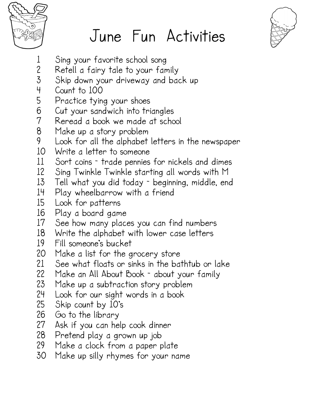

## June Fun Activities



- 1 Sing your favorite school song<br>2 Retell a fairy tale to your far
- 2 Retell a fairy tale to your family
- Skip down your driveway and back up
- 4 Count to 100
- 5 Practice tying your shoes
- 6 Cut your sandwich into triangles
- 7 Reread a book we made at school
- Make up a story problem
- 9 Look for all the alphabet letters in the newspaper
- 10 Write a letter to someone<br>11 Sort coins trade pennies
- 11 Sort coins trade pennies for nickels and dimes<br>12 Sing Twinkle Twinkle starting all words with M
- 12 Sing Twinkle Twinkle starting all words with M
- Tell what you did today beginning, middle, end
- 14 Play wheelbarrow with a friend
- 15 Look for patterns
- 16 Play a board game
- 17 See how many places you can find numbers<br>18 Write the alphabet with lower case letters
- 18 Write the alphabet with lower case letters<br>19 Fill someone's bucket
- 19 Fill someone's bucket
- 20 Make a list for the grocery store<br>21 See what floats or sinks in the ba
- 21 See what floats or sinks in the bathtub or lake<br>22 Make an All About Book about your family
- 22 Make an All About Book about your family<br>23 Make up a subtraction story problem
- 23 Make up a subtraction story problem<br>24 Look for our siaht words in a book
- 24 Look for our sight words in a book<br>25 Skip count by 10's
- 25 Skip count by 10's<br>26 Go to the library
- 
- 26 Go to the library 27 Ask if you can help cook dinner
- 28 Pretend play a grown up job
- 29 Make a clock from a paper plate
- Make up silly rhymes for your name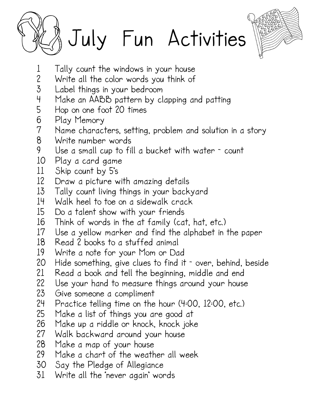



- 
- 1 Tally count the windows in your house<br>2 Write all the color words you think of 2 Write all the color words you think of<br>3 Label things in your bedroom
- Label things in your bedroom
- 4 Make an AABB pattern by clapping and patting
- 5 Hop on one foot 20 times<br>6 Play Memory
- 6 Play Memory
- 7 Name characters, setting, problem and solution in a story
- 8 Write number words
- Use a small cup to fill a bucket with water  $\sim$  count
- 10 Play a card game
- 11 Skip count by 5's<br>12 Draw a picture w
- Draw a picture with amazing details
- 13 Tally count living things in your backyard<br>14 Walk heel to toe on a sidewalk crack
- 14 Walk heel to toe on a sidewalk crack<br>15 Do a talent show with your friends
- Do a talent show with your friends
- 16 Think of words in the at family (cat, hat, etc.)<br>17 Use a vellow marker and find the alphabet in
- Use a yellow marker and find the alphabet in the paper
- 18 Read 2 books to a stuffed animal
- 19 Write a note for your Mom or Dad
- 20 Hide something, give clues to find it over, behind, beside<br>21 Read a book and tell the beginning, middle and end
- 21 Read a book and tell the beginning, middle and end
- 22 Use your hand to measure things around your house<br>23 Give someone a compliment
- 23 Give someone a compliment<br>24 Practice telling time on the
- 24 Practice telling time on the hour (4:00, 12:00, etc.)<br>25 Make a list of things you are good at
- 25 Make a list of things you are good at<br>26 Make up a riddle or knock, knock joke
- 26 Make up a riddle or knock, knock joke<br>27 Walk backward around your house
- 27 Walk backward around your house
- Make a map of your house
- 29 Make a chart of the weather all week<br>30 Say the Pledge of Allegiance
- 30 Say the Pledge of Allegiance<br>31 Write all the never again' wor
- Write all the 'never again' words